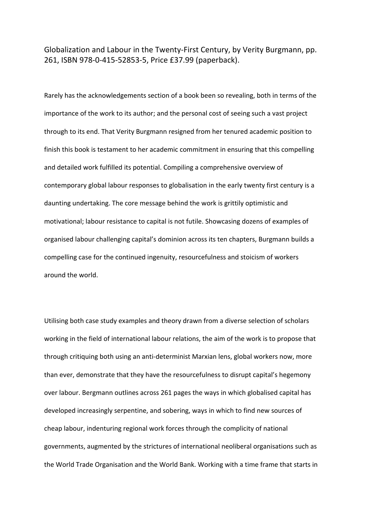Globalization and Labour in the Twenty-First Century, by Verity Burgmann, pp. 261, ISBN 978-0-415-52853-5, Price £37.99 (paperback).

Rarely has the acknowledgements section of a book been so revealing, both in terms of the importance of the work to its author; and the personal cost of seeing such a vast project through to its end. That Verity Burgmann resigned from her tenured academic position to finish this book is testament to her academic commitment in ensuring that this compelling and detailed work fulfilled its potential. Compiling a comprehensive overview of contemporary global labour responses to globalisation in the early twenty first century is a daunting undertaking. The core message behind the work is grittily optimistic and motivational; labour resistance to capital is not futile. Showcasing dozens of examples of organised labour challenging capital's dominion across its ten chapters, Burgmann builds a compelling case for the continued ingenuity, resourcefulness and stoicism of workers around the world.

Utilising both case study examples and theory drawn from a diverse selection of scholars working in the field of international labour relations, the aim of the work is to propose that through critiquing both using an anti-determinist Marxian lens, global workers now, more than ever, demonstrate that they have the resourcefulness to disrupt capital's hegemony over labour. Bergmann outlines across 261 pages the ways in which globalised capital has developed increasingly serpentine, and sobering, ways in which to find new sources of cheap labour, indenturing regional work forces through the complicity of national governments, augmented by the strictures of international neoliberal organisations such as the World Trade Organisation and the World Bank. Working with a time frame that starts in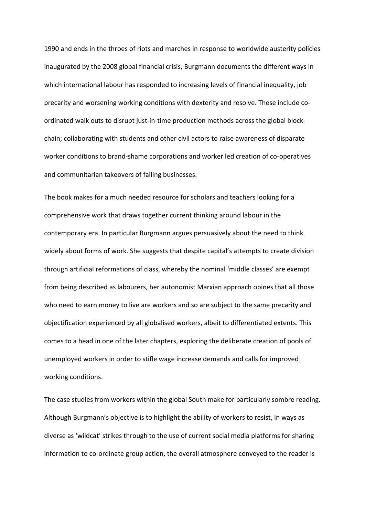1990 and ends in the throes of riots and marches in response to worldwide austerity policies inaugurated by the 2008 global financial crisis, Burgmann documents the different ways in which international labour has responded to increasing levels of financial inequality, job precarity and worsening working conditions with dexterity and resolve. These include coordinated walk outs to disrupt just-in-time production methods across the global blockchain; collaborating with students and other civil actors to raise awareness of disparate worker conditions to brand-shame corporations and worker led creation of co-operatives and communitarian takeovers of failing businesses.

The book makes for a much needed resource for scholars and teachers looking for a comprehensive work that draws together current thinking around labour in the contemporary era. In particular Burgmann argues persuasively about the need to think widely about forms of work. She suggests that despite capital's attempts to create division through artificial reformations of class, whereby the nominal 'middle classes' are exempt from being described as labourers, her autonomist Marxian approach opines that all those who need to earn money to live are workers and so are subject to the same precarity and objectification experienced by all globalised workers, albeit to differentiated extents. This comes to a head in one of the later chapters, exploring the deliberate creation of pools of unemployed workers in order to stifle wage increase demands and calls for improved working conditions.

The case studies from workers within the global South make for particularly sombre reading. Although Burgmann's objective is to highlight the ability of workers to resist, in ways as diverse as 'wildcat' strikes through to the use of current social media platforms for sharing information to co-ordinate group action, the overall atmosphere conveyed to the reader is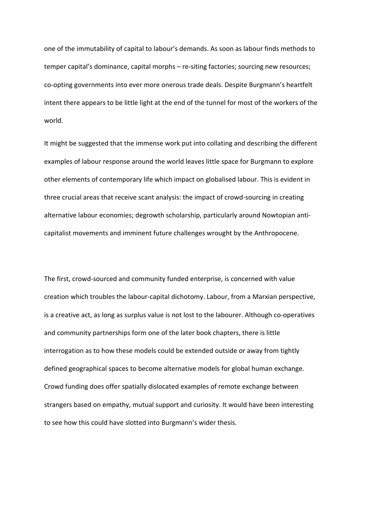one of the immutability of capital to labour's demands. As soon as labour finds methods to temper capital's dominance, capital morphs – re-siting factories; sourcing new resources; co-opting governments into ever more onerous trade deals. Despite Burgmann's heartfelt intent there appears to be little light at the end of the tunnel for most of the workers of the world.

It might be suggested that the immense work put into collating and describing the different examples of labour response around the world leaves little space for Burgmann to explore other elements of contemporary life which impact on globalised labour. This is evident in three crucial areas that receive scant analysis: the impact of crowd-sourcing in creating alternative labour economies; degrowth scholarship, particularly around Nowtopian anticapitalist movements and imminent future challenges wrought by the Anthropocene.

The first, crowd-sourced and community funded enterprise, is concerned with value creation which troubles the labour-capital dichotomy. Labour, from a Marxian perspective, is a creative act, as long as surplus value is not lost to the labourer. Although co-operatives and community partnerships form one of the later book chapters, there is little interrogation as to how these models could be extended outside or away from tightly defined geographical spaces to become alternative models for global human exchange. Crowd funding does offer spatially dislocated examples of remote exchange between strangers based on empathy, mutual support and curiosity. It would have been interesting to see how this could have slotted into Burgmann's wider thesis.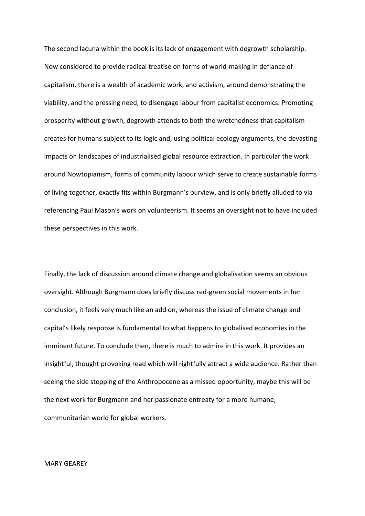The second lacuna within the book is its lack of engagement with degrowth scholarship. Now considered to provide radical treatise on forms of world-making in defiance of capitalism, there is a wealth of academic work, and activism, around demonstrating the viability, and the pressing need, to disengage labour from capitalist economics. Promoting prosperity without growth, degrowth attends to both the wretchedness that capitalism creates for humans subject to its logic and, using political ecology arguments, the devasting impacts on landscapes of industrialised global resource extraction. In particular the work around Nowtopianism, forms of community labour which serve to create sustainable forms of living together, exactly fits within Burgmann's purview, and is only briefly alluded to via referencing Paul Mason's work on volunteerism. It seems an oversight not to have included these perspectives in this work.

Finally, the lack of discussion around climate change and globalisation seems an obvious oversight. Although Burgmann does briefly discuss red-green social movements in her conclusion, it feels very much like an add on, whereas the issue of climate change and capital's likely response is fundamental to what happens to globalised economies in the imminent future. To conclude then, there is much to admire in this work. It provides an insightful, thought provoking read which will rightfully attract a wide audience. Rather than seeing the side stepping of the Anthropocene as a missed opportunity, maybe this will be the next work for Burgmann and her passionate entreaty for a more humane, communitarian world for global workers.

## MARY GEAREY